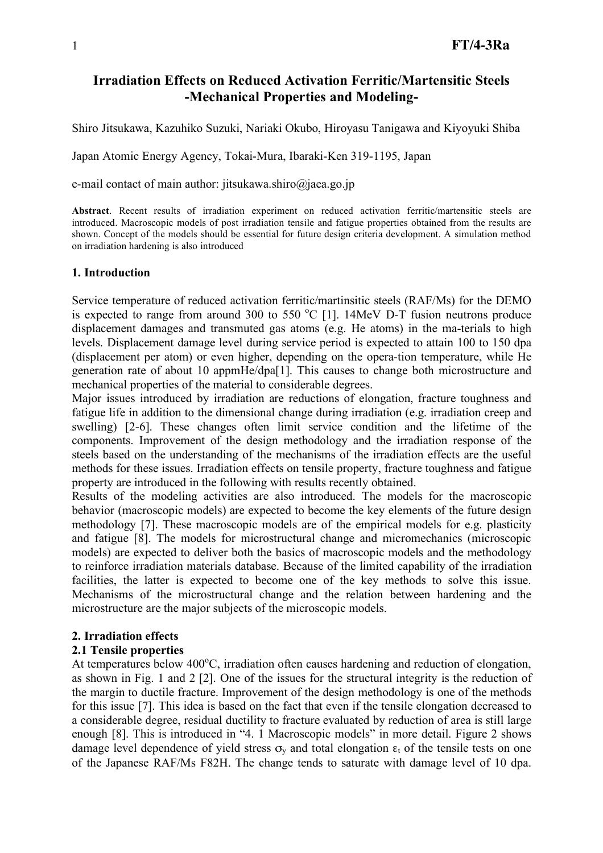## **Irradiation Effects on Reduced Activation Ferritic/Martensitic Steels -Mechanical Properties and Modeling-**

Shiro Jitsukawa, Kazuhiko Suzuki, Nariaki Okubo, Hiroyasu Tanigawa and Kiyoyuki Shiba

Japan Atomic Energy Agency, Tokai-Mura, Ibaraki-Ken 319-1195, Japan

e-mail contact of main author: jitsukawa.shiro@jaea.go.jp

**Abstract**. Recent results of irradiation experiment on reduced activation ferritic/martensitic steels are introduced. Macroscopic models of post irradiation tensile and fatigue properties obtained from the results are shown. Concept of the models should be essential for future design criteria development. A simulation method on irradiation hardening is also introduced

## **1. Introduction**

Service temperature of reduced activation ferritic/martinsitic steels (RAF/Ms) for the DEMO is expected to range from around 300 to 550  $^{\circ}$ C [1]. 14MeV D-T fusion neutrons produce displacement damages and transmuted gas atoms (e.g. He atoms) in the ma-terials to high levels. Displacement damage level during service period is expected to attain 100 to 150 dpa (displacement per atom) or even higher, depending on the opera-tion temperature, while He generation rate of about 10 appmHe/dpa[1]. This causes to change both microstructure and mechanical properties of the material to considerable degrees.

Major issues introduced by irradiation are reductions of elongation, fracture toughness and fatigue life in addition to the dimensional change during irradiation (e.g. irradiation creep and swelling) [2-6]. These changes often limit service condition and the lifetime of the components. Improvement of the design methodology and the irradiation response of the steels based on the understanding of the mechanisms of the irradiation effects are the useful methods for these issues. Irradiation effects on tensile property, fracture toughness and fatigue property are introduced in the following with results recently obtained.

Results of the modeling activities are also introduced. The models for the macroscopic behavior (macroscopic models) are expected to become the key elements of the future design methodology [7]. These macroscopic models are of the empirical models for e.g. plasticity and fatigue [8]. The models for microstructural change and micromechanics (microscopic models) are expected to deliver both the basics of macroscopic models and the methodology to reinforce irradiation materials database. Because of the limited capability of the irradiation facilities, the latter is expected to become one of the key methods to solve this issue. Mechanisms of the microstructural change and the relation between hardening and the microstructure are the major subjects of the microscopic models.

## **2. Irradiation effects**

## **2.1 Tensile properties**

At temperatures below 400°C, irradiation often causes hardening and reduction of elongation, as shown in Fig. 1 and 2 [2]. One of the issues for the structural integrity is the reduction of the margin to ductile fracture. Improvement of the design methodology is one of the methods for this issue [7]. This idea is based on the fact that even if the tensile elongation decreased to a considerable degree, residual ductility to fracture evaluated by reduction of area is still large enough [8]. This is introduced in "4. 1 Macroscopic models" in more detail. Figure 2 shows damage level dependence of yield stress  $\sigma_v$  and total elongation  $\varepsilon_t$  of the tensile tests on one of the Japanese RAF/Ms F82H. The change tends to saturate with damage level of 10 dpa.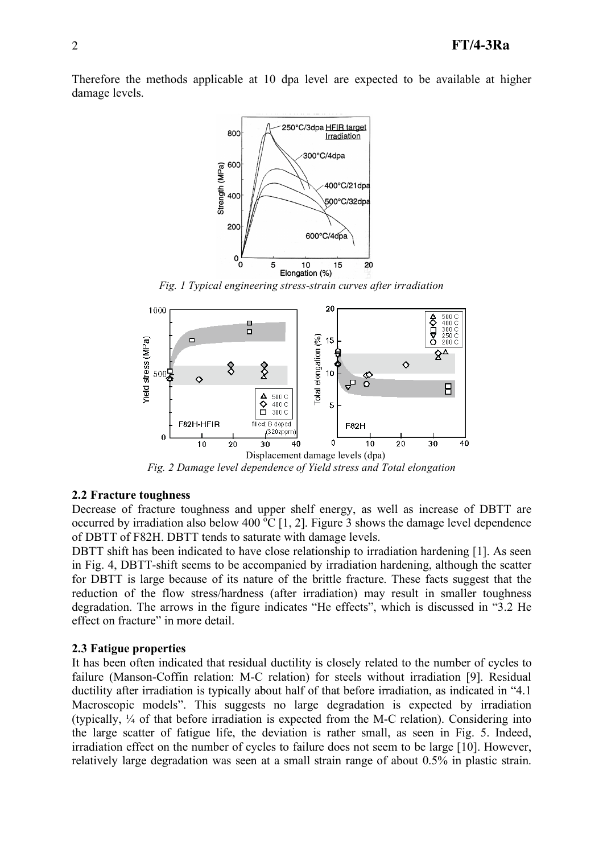Therefore the methods applicable at 10 dpa level are expected to be available at higher damage levels.



*Fig. 1 Typical engineering stress-strain curves after irradiation*



*Fig. 2 Damage level dependence of Yield stress and Total elongation*

#### **2.2 Fracture toughness**

Decrease of fracture toughness and upper shelf energy, as well as increase of DBTT are occurred by irradiation also below 400  $\rm{^6C}$  [1, 2]. Figure 3 shows the damage level dependence of DBTT of F82H. DBTT tends to saturate with damage levels.

DBTT shift has been indicated to have close relationship to irradiation hardening [1]. As seen in Fig. 4, DBTT-shift seems to be accompanied by irradiation hardening, although the scatter for DBTT is large because of its nature of the brittle fracture. These facts suggest that the reduction of the flow stress/hardness (after irradiation) may result in smaller toughness degradation. The arrows in the figure indicates "He effects", which is discussed in "3.2 He effect on fracture" in more detail.

#### **2.3 Fatigue properties**

It has been often indicated that residual ductility is closely related to the number of cycles to failure (Manson-Coffin relation: M-C relation) for steels without irradiation [9]. Residual ductility after irradiation is typically about half of that before irradiation, as indicated in "4.1 Macroscopic models". This suggests no large degradation is expected by irradiation (typically, ¼ of that before irradiation is expected from the M-C relation). Considering into the large scatter of fatigue life, the deviation is rather small, as seen in Fig. 5. Indeed, irradiation effect on the number of cycles to failure does not seem to be large [10]. However, relatively large degradation was seen at a small strain range of about 0.5% in plastic strain.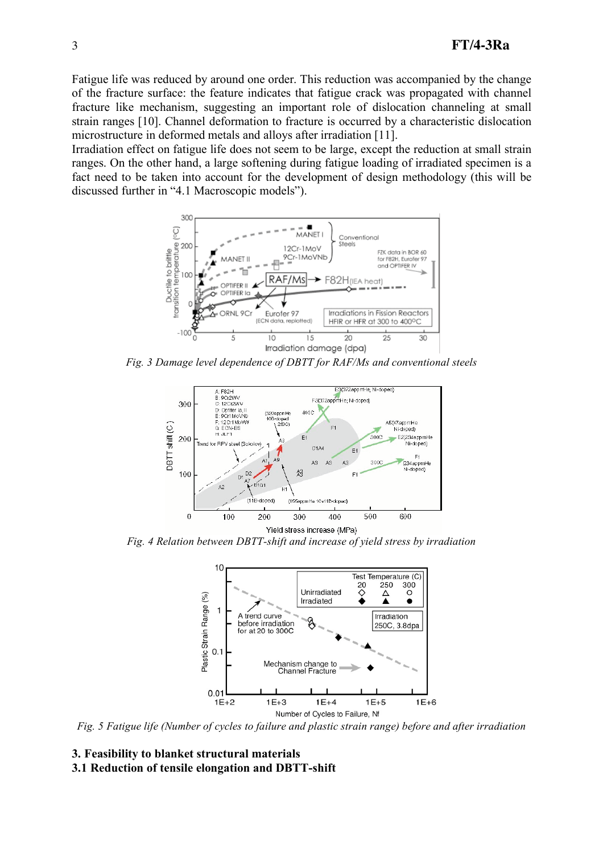Fatigue life was reduced by around one order. This reduction was accompanied by the change of the fracture surface: the feature indicates that fatigue crack was propagated with channel fracture like mechanism, suggesting an important role of dislocation channeling at small strain ranges [10]. Channel deformation to fracture is occurred by a characteristic dislocation microstructure in deformed metals and alloys after irradiation [11].

Irradiation effect on fatigue life does not seem to be large, except the reduction at small strain ranges. On the other hand, a large softening during fatigue loading of irradiated specimen is a fact need to be taken into account for the development of design methodology (this will be discussed further in "4.1 Macroscopic models").



*Fig. 3 Damage level dependence of DBTT for RAF/Ms and conventional steels*



*Fig. 4 Relation between DBTT-shift and increase of yield stress by irradiation*



*Fig. 5 Fatigue life (Number of cycles to failure and plastic strain range) before and after irradiation*

# **3. Feasibility to blanket structural materials**

**3.1 Reduction of tensile elongation and DBTT-shift**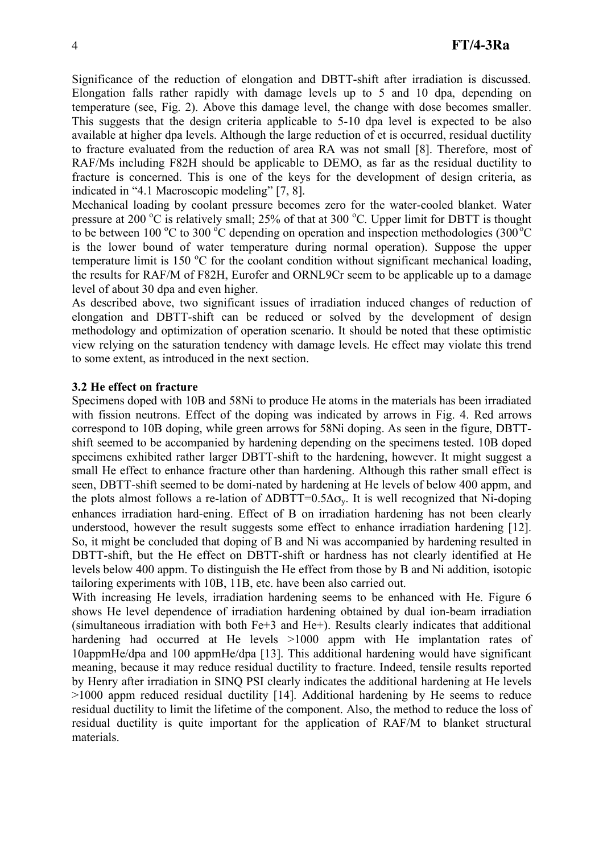Significance of the reduction of elongation and DBTT-shift after irradiation is discussed. Elongation falls rather rapidly with damage levels up to 5 and 10 dpa, depending on temperature (see, Fig. 2). Above this damage level, the change with dose becomes smaller. This suggests that the design criteria applicable to 5-10 dpa level is expected to be also available at higher dpa levels. Although the large reduction of et is occurred, residual ductility to fracture evaluated from the reduction of area RA was not small [8]. Therefore, most of RAF/Ms including F82H should be applicable to DEMO, as far as the residual ductility to fracture is concerned. This is one of the keys for the development of design criteria, as indicated in "4.1 Macroscopic modeling" [7, 8].

Mechanical loading by coolant pressure becomes zero for the water-cooled blanket. Water pressure at 200 °C is relatively small; 25% of that at 300 °C. Upper limit for DBTT is thought to be between 100 °C to 300 °C depending on operation and inspection methodologies (300 °C is the lower bound of water temperature during normal operation). Suppose the upper temperature limit is 150  $\mathrm{^{\circ}C}$  for the coolant condition without significant mechanical loading, the results for RAF/M of F82H, Eurofer and ORNL9Cr seem to be applicable up to a damage level of about 30 dpa and even higher.

As described above, two significant issues of irradiation induced changes of reduction of elongation and DBTT-shift can be reduced or solved by the development of design methodology and optimization of operation scenario. It should be noted that these optimistic view relying on the saturation tendency with damage levels. He effect may violate this trend to some extent, as introduced in the next section.

#### **3.2 He effect on fracture**

Specimens doped with 10B and 58Ni to produce He atoms in the materials has been irradiated with fission neutrons. Effect of the doping was indicated by arrows in Fig. 4. Red arrows correspond to 10B doping, while green arrows for 58Ni doping. As seen in the figure, DBTTshift seemed to be accompanied by hardening depending on the specimens tested. 10B doped specimens exhibited rather larger DBTT-shift to the hardening, however. It might suggest a small He effect to enhance fracture other than hardening. Although this rather small effect is seen, DBTT-shift seemed to be domi-nated by hardening at He levels of below 400 appm, and the plots almost follows a re-lation of  $\triangle DBTT=0.5\Delta\sigma_{v}$ . It is well recognized that Ni-doping enhances irradiation hard-ening. Effect of B on irradiation hardening has not been clearly understood, however the result suggests some effect to enhance irradiation hardening [12]. So, it might be concluded that doping of B and Ni was accompanied by hardening resulted in DBTT-shift, but the He effect on DBTT-shift or hardness has not clearly identified at He levels below 400 appm. To distinguish the He effect from those by B and Ni addition, isotopic tailoring experiments with 10B, 11B, etc. have been also carried out.

With increasing He levels, irradiation hardening seems to be enhanced with He. Figure 6 shows He level dependence of irradiation hardening obtained by dual ion-beam irradiation (simultaneous irradiation with both Fe+3 and He+). Results clearly indicates that additional hardening had occurred at He levels  $>1000$  appm with He implantation rates of 10appmHe/dpa and 100 appmHe/dpa [13]. This additional hardening would have significant meaning, because it may reduce residual ductility to fracture. Indeed, tensile results reported by Henry after irradiation in SINQ PSI clearly indicates the additional hardening at He levels >1000 appm reduced residual ductility [14]. Additional hardening by He seems to reduce residual ductility to limit the lifetime of the component. Also, the method to reduce the loss of residual ductility is quite important for the application of RAF/M to blanket structural materials.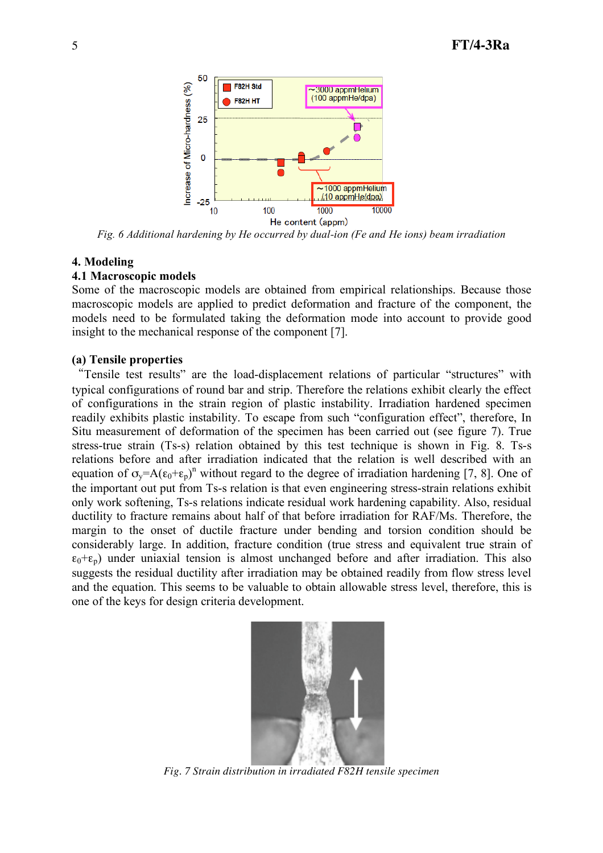

*Fig. 6 Additional hardening by He occurred by dual-ion (Fe and He ions) beam irradiation*

#### **4. Modeling**

#### **4.1 Macroscopic models**

Some of the macroscopic models are obtained from empirical relationships. Because those macroscopic models are applied to predict deformation and fracture of the component, the models need to be formulated taking the deformation mode into account to provide good insight to the mechanical response of the component [7].

#### **(a) Tensile properties**

"Tensile test results" are the load-displacement relations of particular "structures" with typical configurations of round bar and strip. Therefore the relations exhibit clearly the effect of configurations in the strain region of plastic instability. Irradiation hardened specimen readily exhibits plastic instability. To escape from such "configuration effect", therefore, In Situ measurement of deformation of the specimen has been carried out (see figure 7). True stress-true strain (Ts-s) relation obtained by this test technique is shown in Fig. 8. Ts-s relations before and after irradiation indicated that the relation is well described with an equation of  $\sigma_y = A(\epsilon_0 + \epsilon_p)^n$  without regard to the degree of irradiation hardening [7, 8]. One of the important out put from Ts-s relation is that even engineering stress-strain relations exhibit only work softening, Ts-s relations indicate residual work hardening capability. Also, residual ductility to fracture remains about half of that before irradiation for RAF/Ms. Therefore, the margin to the onset of ductile fracture under bending and torsion condition should be considerably large. In addition, fracture condition (true stress and equivalent true strain of  $\varepsilon_0+\varepsilon_p$ ) under uniaxial tension is almost unchanged before and after irradiation. This also suggests the residual ductility after irradiation may be obtained readily from flow stress level and the equation. This seems to be valuable to obtain allowable stress level, therefore, this is one of the keys for design criteria development.



*Fig. 7 Strain distribution in irradiated F82H tensile specimen*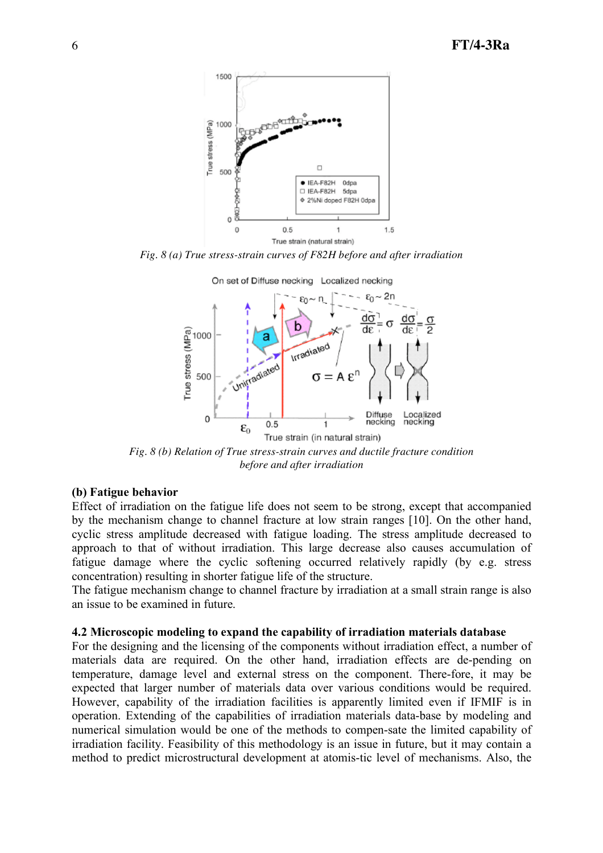

*Fig. 8 (a) True stress-strain curves of F82H before and after irradiation*



*Fig. 8 (b) Relation of True stress-strain curves and ductile fracture condition before and after irradiation*

#### **(b) Fatigue behavior**

Effect of irradiation on the fatigue life does not seem to be strong, except that accompanied by the mechanism change to channel fracture at low strain ranges [10]. On the other hand, cyclic stress amplitude decreased with fatigue loading. The stress amplitude decreased to approach to that of without irradiation. This large decrease also causes accumulation of fatigue damage where the cyclic softening occurred relatively rapidly (by e.g. stress concentration) resulting in shorter fatigue life of the structure.

The fatigue mechanism change to channel fracture by irradiation at a small strain range is also an issue to be examined in future.

#### **4.2 Microscopic modeling to expand the capability of irradiation materials database**

For the designing and the licensing of the components without irradiation effect, a number of materials data are required. On the other hand, irradiation effects are de-pending on temperature, damage level and external stress on the component. There-fore, it may be expected that larger number of materials data over various conditions would be required. However, capability of the irradiation facilities is apparently limited even if IFMIF is in operation. Extending of the capabilities of irradiation materials data-base by modeling and numerical simulation would be one of the methods to compen-sate the limited capability of irradiation facility. Feasibility of this methodology is an issue in future, but it may contain a method to predict microstructural development at atomis-tic level of mechanisms. Also, the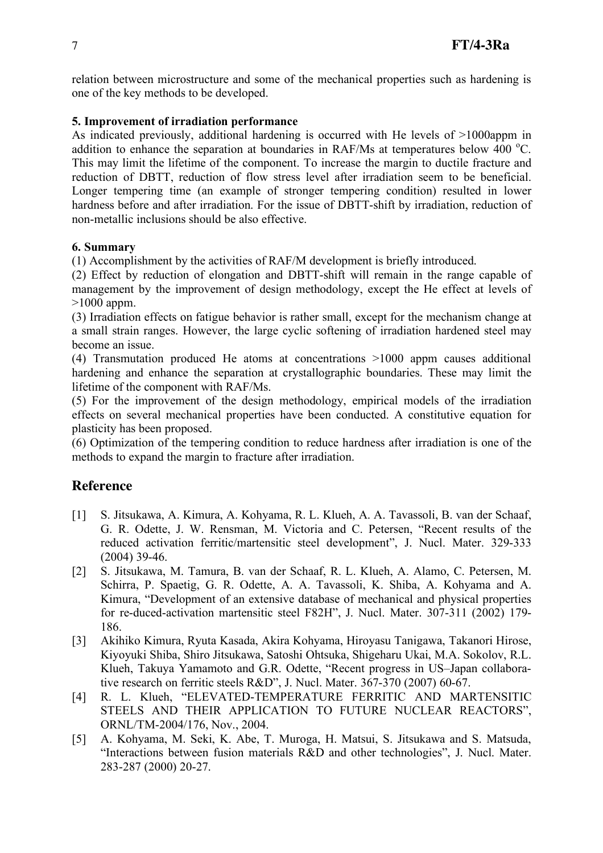relation between microstructure and some of the mechanical properties such as hardening is one of the key methods to be developed.

## **5. Improvement of irradiation performance**

As indicated previously, additional hardening is occurred with He levels of >1000appm in addition to enhance the separation at boundaries in RAF/Ms at temperatures below  $400^{\circ}$ C. This may limit the lifetime of the component. To increase the margin to ductile fracture and reduction of DBTT, reduction of flow stress level after irradiation seem to be beneficial. Longer tempering time (an example of stronger tempering condition) resulted in lower hardness before and after irradiation. For the issue of DBTT-shift by irradiation, reduction of non-metallic inclusions should be also effective.

## **6. Summary**

(1) Accomplishment by the activities of RAF/M development is briefly introduced.

(2) Effect by reduction of elongation and DBTT-shift will remain in the range capable of management by the improvement of design methodology, except the He effect at levels of >1000 appm.

(3) Irradiation effects on fatigue behavior is rather small, except for the mechanism change at a small strain ranges. However, the large cyclic softening of irradiation hardened steel may become an issue.

(4) Transmutation produced He atoms at concentrations >1000 appm causes additional hardening and enhance the separation at crystallographic boundaries. These may limit the lifetime of the component with RAF/Ms.

(5) For the improvement of the design methodology, empirical models of the irradiation effects on several mechanical properties have been conducted. A constitutive equation for plasticity has been proposed.

(6) Optimization of the tempering condition to reduce hardness after irradiation is one of the methods to expand the margin to fracture after irradiation.

# **Reference**

- [1] S. Jitsukawa, A. Kimura, A. Kohyama, R. L. Klueh, A. A. Tavassoli, B. van der Schaaf, G. R. Odette, J. W. Rensman, M. Victoria and C. Petersen, "Recent results of the reduced activation ferritic/martensitic steel development", J. Nucl. Mater. 329-333 (2004) 39-46.
- [2] S. Jitsukawa, M. Tamura, B. van der Schaaf, R. L. Klueh, A. Alamo, C. Petersen, M. Schirra, P. Spaetig, G. R. Odette, A. A. Tavassoli, K. Shiba, A. Kohyama and A. Kimura, "Development of an extensive database of mechanical and physical properties for re-duced-activation martensitic steel F82H", J. Nucl. Mater. 307-311 (2002) 179- 186.
- [3] Akihiko Kimura, Ryuta Kasada, Akira Kohyama, Hiroyasu Tanigawa, Takanori Hirose, Kiyoyuki Shiba, Shiro Jitsukawa, Satoshi Ohtsuka, Shigeharu Ukai, M.A. Sokolov, R.L. Klueh, Takuya Yamamoto and G.R. Odette, "Recent progress in US–Japan collaborative research on ferritic steels R&D", J. Nucl. Mater. 367-370 (2007) 60-67.
- [4] R. L. Klueh, "ELEVATED-TEMPERATURE FERRITIC AND MARTENSITIC STEELS AND THEIR APPLICATION TO FUTURE NUCLEAR REACTORS", ORNL/TM-2004/176, Nov., 2004.
- [5] A. Kohyama, M. Seki, K. Abe, T. Muroga, H. Matsui, S. Jitsukawa and S. Matsuda, "Interactions between fusion materials R&D and other technologies", J. Nucl. Mater. 283-287 (2000) 20-27.